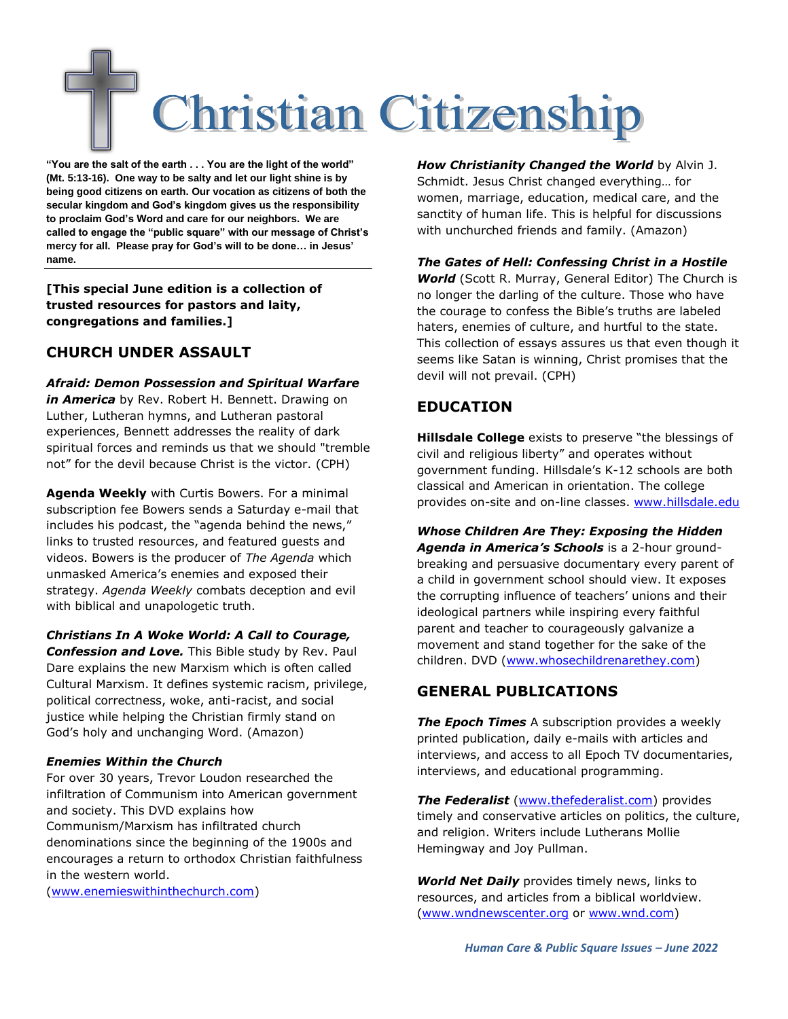# **Christian Citizenship**

**"You are the salt of the earth . . . You are the light of the world" (Mt. 5:13-16). One way to be salty and let our light shine is by being good citizens on earth. Our vocation as citizens of both the secular kingdom and God's kingdom gives us the responsibility to proclaim God's Word and care for our neighbors. We are called to engage the "public square" with our message of Christ's mercy for all. Please pray for God's will to be done… in Jesus' name.**

**[This special June edition is a collection of trusted resources for pastors and laity, congregations and families.]** 

# **CHURCH UNDER ASSAULT**

*Afraid: Demon Possession and Spiritual Warfare in America* by Rev. Robert H. Bennett. Drawing on Luther, Lutheran hymns, and Lutheran pastoral experiences, Bennett addresses the reality of dark spiritual forces and reminds us that we should "tremble not" for the devil because Christ is the victor. (CPH)

**Agenda Weekly** with Curtis Bowers. For a minimal subscription fee Bowers sends a Saturday e-mail that includes his podcast, the "agenda behind the news," links to trusted resources, and featured guests and videos. Bowers is the producer of *The Agenda* which unmasked America's enemies and exposed their strategy. *Agenda Weekly* combats deception and evil with biblical and unapologetic truth.

*Christians In A Woke World: A Call to Courage,* 

*Confession and Love.* This Bible study by Rev. Paul Dare explains the new Marxism which is often called Cultural Marxism. It defines systemic racism, privilege, political correctness, woke, anti-racist, and social justice while helping the Christian firmly stand on God's holy and unchanging Word. (Amazon)

#### *Enemies Within the Church*

For over 30 years, Trevor Loudon researched the infiltration of Communism into American government and society. This DVD explains how Communism/Marxism has infiltrated church denominations since the beginning of the 1900s and encourages a return to orthodox Christian faithfulness in the western world.

[\(www.enemieswithinthechurch.com\)](http://www.enemieswithinthechurch.com/)

*How Christianity Changed the World* by Alvin J. Schmidt. Jesus Christ changed everything… for women, marriage, education, medical care, and the sanctity of human life. This is helpful for discussions with unchurched friends and family. (Amazon)

*The Gates of Hell: Confessing Christ in a Hostile World* (Scott R. Murray, General Editor) The Church is no longer the darling of the culture. Those who have the courage to confess the Bible's truths are labeled haters, enemies of culture, and hurtful to the state. This collection of essays assures us that even though it seems like Satan is winning, Christ promises that the devil will not prevail. (CPH)

# **EDUCATION**

**Hillsdale College** exists to preserve "the blessings of civil and religious liberty" and operates without government funding. Hillsdale's K-12 schools are both classical and American in orientation. The college provides on-site and on-line classes. [www.hillsdale.edu](http://www.hillsdale.edu/)

*Whose Children Are They: Exposing the Hidden Agenda in America's Schools* is a 2-hour groundbreaking and persuasive documentary every parent of a child in government school should view. It exposes the corrupting influence of teachers' unions and their ideological partners while inspiring every faithful parent and teacher to courageously galvanize a movement and stand together for the sake of the children. DVD [\(www.whosechildrenarethey.com\)](http://www.whosechildrenarethey.com/)

# **GENERAL PUBLICATIONS**

**The Epoch Times** A subscription provides a weekly printed publication, daily e-mails with articles and interviews, and access to all Epoch TV documentaries, interviews, and educational programming.

**The Federalist** [\(www.thefederalist.com\)](http://www.thefederalist.com/) provides timely and conservative articles on politics, the culture, and religion. Writers include Lutherans Mollie Hemingway and Joy Pullman.

*World Net Daily* provides timely news, links to resources, and articles from a biblical worldview. [\(www.wndnewscenter.org](http://www.wndnewscenter.org/) or [www.wnd.com\)](http://www.wnd.com/)